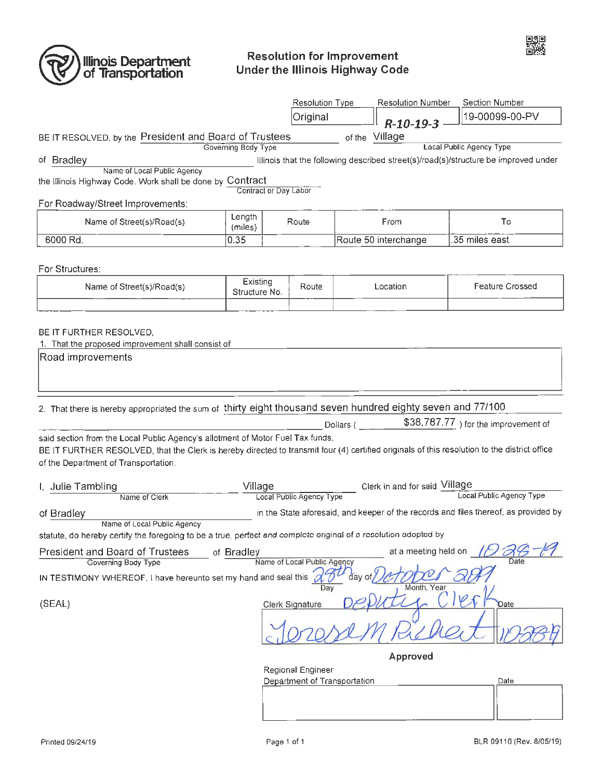

# **Resolution for Improvement** Under the Illinois Highway Code

|                                                                                                                                                                                      |                   |                       | <b>Resolution Type</b> |                              | <b>Resolution Number</b>      | Section Number                                                                      |
|--------------------------------------------------------------------------------------------------------------------------------------------------------------------------------------|-------------------|-----------------------|------------------------|------------------------------|-------------------------------|-------------------------------------------------------------------------------------|
|                                                                                                                                                                                      |                   |                       | Original               |                              | $R - 10 - 19 - 3$             | 19-00099-00-PV                                                                      |
| BE IT RESOLVED, by the President and Board of Trustees                                                                                                                               |                   |                       |                        |                              | of the Village                |                                                                                     |
| Local Public Agency Type<br>Governing Body Type                                                                                                                                      |                   |                       |                        |                              |                               |                                                                                     |
| of Bradley<br>Name of Local Public Agency                                                                                                                                            |                   |                       |                        |                              |                               | Illinois that the following described street(s)/road(s)/structure be improved under |
| the Illinois Highway Code. Work shall be done by Contract                                                                                                                            |                   | Contract or Day Labor |                        |                              |                               |                                                                                     |
| For Roadway/Street Improvements:                                                                                                                                                     |                   |                       |                        |                              |                               |                                                                                     |
| Name of Street(s)/Road(s)                                                                                                                                                            | Length<br>(miles) | Route                 |                        | From                         |                               | To                                                                                  |
| 6000 Rd.                                                                                                                                                                             | 0.35              |                       |                        | Route 50 interchange         |                               | .35 miles east                                                                      |
|                                                                                                                                                                                      |                   |                       |                        |                              |                               |                                                                                     |
| For Structures:                                                                                                                                                                      | Existing<br>Route |                       |                        | Location                     |                               |                                                                                     |
| Name of Street(s)/Road(s)                                                                                                                                                            |                   | Structure No.         |                        |                              |                               | <b>Feature Crossed</b>                                                              |
|                                                                                                                                                                                      |                   |                       |                        |                              |                               |                                                                                     |
| BE IT FURTHER RESOLVED.                                                                                                                                                              |                   |                       |                        |                              |                               |                                                                                     |
| 1. That the proposed improvement shall consist of                                                                                                                                    |                   |                       |                        |                              |                               |                                                                                     |
| Road improvements                                                                                                                                                                    |                   |                       |                        |                              |                               |                                                                                     |
|                                                                                                                                                                                      |                   |                       |                        |                              |                               |                                                                                     |
|                                                                                                                                                                                      |                   |                       |                        |                              |                               |                                                                                     |
| 2. That there is hereby appropriated the sum of thirty eight thousand seven hundred eighty seven and 77/100                                                                          |                   |                       |                        |                              |                               |                                                                                     |
|                                                                                                                                                                                      |                   |                       |                        | Dollars (                    |                               | \$38,787.77 ) for the improvement of                                                |
| said section from the Local Public Agency's allotment of Motor Fuel Tax funds.                                                                                                       |                   |                       |                        |                              |                               |                                                                                     |
| BE IT FURTHER RESOLVED, that the Clerk is hereby directed to transmit four (4) certified originals of this resolution to the district office<br>of the Department of Transportation. |                   |                       |                        |                              |                               |                                                                                     |
|                                                                                                                                                                                      |                   |                       |                        |                              |                               |                                                                                     |
| I. Julie Tambling<br>Name of Clerk                                                                                                                                                   | Village           |                       |                        |                              | Clerk in and for said Village | Local Public Agency Type                                                            |
| Local Public Agency Type<br>in the State aforesaid, and keeper of the records and files thereof, as provided by<br>of Bradley                                                        |                   |                       |                        |                              |                               |                                                                                     |
| Name of Local Public Agency                                                                                                                                                          |                   |                       |                        |                              |                               |                                                                                     |
| statute, do hereby certify the foregoing to be a true, perfect and complete original of a resolution adopted by                                                                      |                   |                       |                        |                              |                               |                                                                                     |
| at a meeting held on<br><b>President and Board of Trustees</b><br>of Bradley<br>Governing Body Type<br>Name of Local Public Agency                                                   |                   |                       |                        |                              |                               | Date                                                                                |
| IN TESTIMONY WHEREOF, I have hereunto set my hand and seal this<br>day o<br>Month, Year<br>Day                                                                                       |                   |                       |                        |                              |                               |                                                                                     |
| (SEAL)                                                                                                                                                                               |                   |                       | <b>Clerk Signature</b> |                              |                               | <b>Date</b>                                                                         |
|                                                                                                                                                                                      |                   |                       |                        |                              |                               |                                                                                     |
| Approved                                                                                                                                                                             |                   |                       |                        |                              |                               |                                                                                     |
|                                                                                                                                                                                      |                   |                       | Regional Engineer      |                              |                               |                                                                                     |
|                                                                                                                                                                                      |                   |                       |                        | Department of Transportation |                               | Date                                                                                |
|                                                                                                                                                                                      |                   |                       |                        |                              |                               |                                                                                     |
|                                                                                                                                                                                      |                   |                       |                        |                              |                               |                                                                                     |

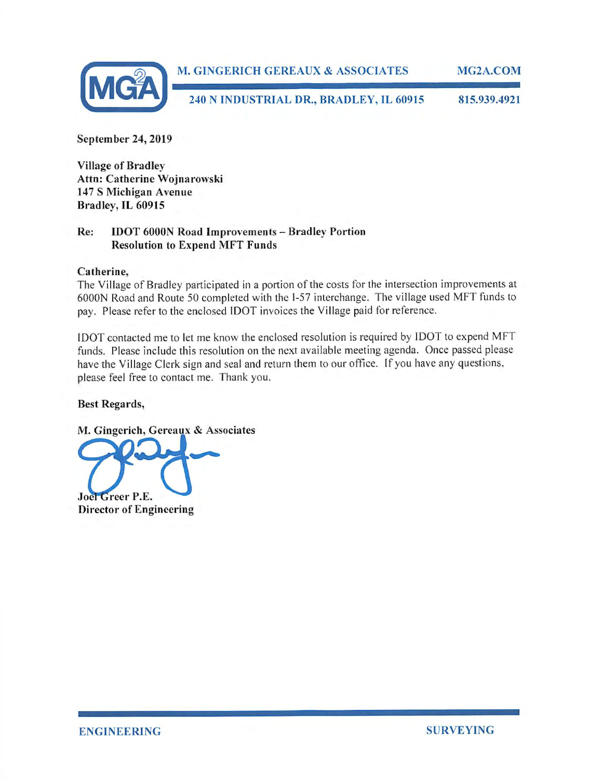

**September 24, 2019** 

**Village of Bradley Attn: Catherine Wojnarowski 147 S Michigan Avenue Bradley, IL 60915** 

## **Re: IDOT 6000N Road Improvements - Bradley Portion Resolution to Expend MFT Funds**

#### **Catherine,**

The Village of Bradley participated in a portion of the costs for the intersection improvements at 6000N Road and Route 50 completed with the 1-57 interchange. The village used MFT funds to pay. Please refer to the enclosed IDOT invoices the Village paid for reference.

IDOT contacted me to let me know the enclosed resolution is required by IDOT to expend MFT funds. Please include this resolution on the next available meeting agenda. Once passed please have the Village Clerk sign and seal and return them to our office. If you have any questions, please feel free to contact me. Thank you.

## **Best Regards,**

M. Gingerich, Gereaux & Associates

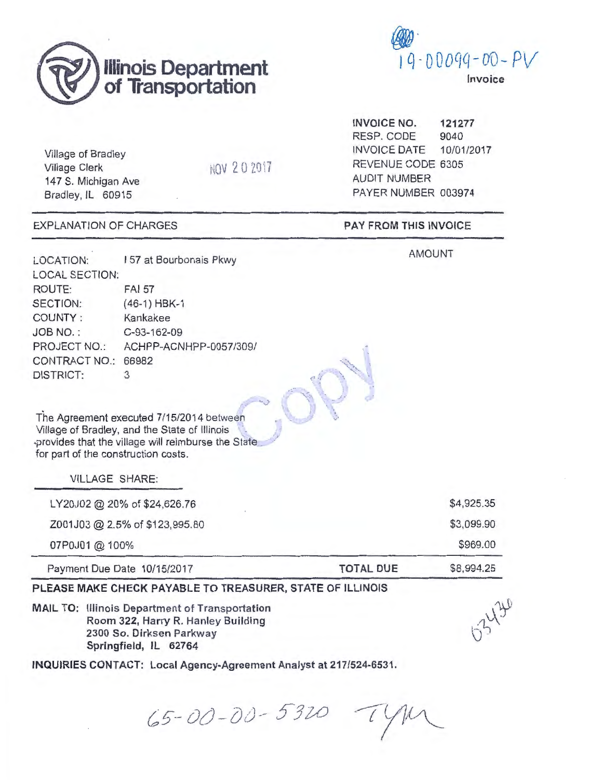



Village of Bradley Village Clerk 147 S. Michigan Ave Bradley, IL 60915

NOV 202017

EXPLANATION OF CHARGES

**INVOICE NO.**  RESP. CODE INVOICE DATE **121277**  9040 10/01/2017 REVENUE CODE 6305 AUDIT NUMBER PAYER NUMBER 003974

**PAY FROM THIS INVOICE** 

AMOUNT

LOCATION: 157 at Bourbonais Pkwy LOCAL SECTION: ROUTE: SECTION: FAI 57 (46-1) HBK-1 COUNTY : Kankakee JOB NO.: C-93-162-09 PROJECT NO.: ACHPP-ACNHPP-0057/309/ CONTRACT NO.: 66982 DISTRICT: 3

The Agreement executed 7/15/2014 between Village of Bradley, and the State of Illinois •provides that the village will reimburse the State \_ for part of the construction costs.

VILLAGE SHARE:

LY20J02 @ 20% of \$24,626.76 Z001J03@ 2.5% of \$123,995.80 07P0J01 @ 100% Payment Due Date 10/15/2017 **TOTAL DUE**  \$4,925.35 \$3,099.90 \$969.00 \$8,994.25

## **PLEASE MAKE CHECK PAYABLE TO TREASURER, STATE OF ILLINOIS**

**MAIL TO:** Illinois Department of Transportation Room 322, Harry R. Hanley Building 2300 So. Dirksen Parkway Springfield, IL 62764

**INQUIRIES CONTACT: Local Agency-Agreement Analyst at 217/524-6531.** 

 $65 - 00 - 00 - 5320$